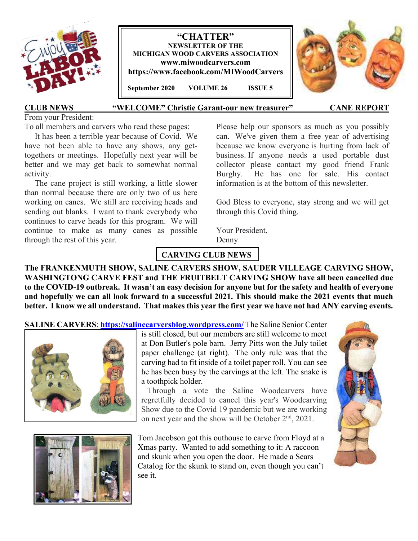

**"CHATTER" NEWSLETTER OF THE MICHIGAN WOOD CARVERS ASSOCIATION www.miwoodcarvers.com https://www.facebook.com/MIWoodCarvers** 

 **September 2020 VOLUME 26 ISSUE 5**



#### **CLUB NEWS "WELCOME" Christie Garant-our new treasurer" CANE REPORT**

#### From your President:

To all members and carvers who read these pages:

 It has been a terrible year because of Covid. We have not been able to have any shows, any gettogethers or meetings. Hopefully next year will be better and we may get back to somewhat normal activity.

 The cane project is still working, a little slower than normal because there are only two of us here working on canes. We still are receiving heads and sending out blanks. I want to thank everybody who continues to carve heads for this program. We will continue to make as many canes as possible through the rest of this year.

Please help our sponsors as much as you possibly can. We've given them a free year of advertising because we know everyone is hurting from lack of business. If anyone needs a used portable dust collector please contact my good friend Frank Burghy. He has one for sale. His contact information is at the bottom of this newsletter.

God Bless to everyone, stay strong and we will get through this Covid thing.

Your President, Denny

# **CARVING CLUB NEWS**

**The FRANKENMUTH SHOW, SALINE CARVERS SHOW, SAUDER VILLEAGE CARVING SHOW, WASHINGTONG CARVE FEST and THE FRUITBELT CARVING SHOW have all been cancelled due to the COVID-19 outbreak. It wasn't an easy decision for anyone but for the safety and health of everyone and hopefully we can all look forward to a successful 2021. This should make the 2021 events that much better. I know we all understand. That makes this year the first year we have not had ANY carving events.** 

**SALINE CARVERS**: **https://salinecarversblog.wordpress.com/** The Saline Senior Center





is still closed, but our members are still welcome to meet at Don Butler's pole barn. Jerry Pitts won the July toilet paper challenge (at right). The only rule was that the carving had to fit inside of a toilet paper roll. You can see he has been busy by the carvings at the left. The snake is a toothpick holder.

 Through a vote the Saline Woodcarvers have regretfully decided to cancel this year's Woodcarving Show due to the Covid 19 pandemic but we are working on next year and the show will be October 2<sup>nd</sup>, 2021.

Tom Jacobson got this outhouse to carve from Floyd at a Xmas party. Wanted to add something to it: A raccoon and skunk when you open the door. He made a Sears Catalog for the skunk to stand on, even though you can't see it.

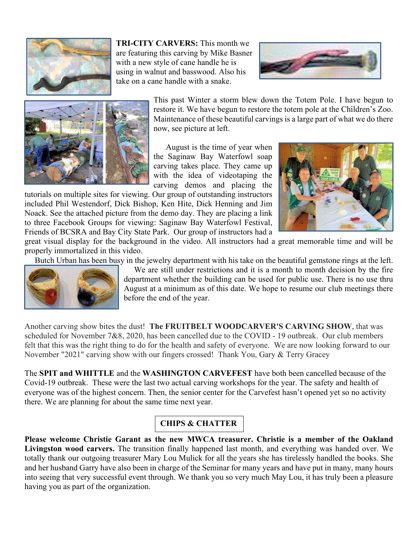

**TRI-CITY CARVERS:** This month we are featuring this carving by Mike Basner with a new style of cane handle he is using in walnut and basswood. Also his take on a cane handle with a snake.





This past Winter a storm blew down the Totem Pole. I have begun to restore it. We have begun to restore the totem pole at the Children's Zoo. Maintenance of these beautiful carvings is a large part of what we do there now, see picture at left.

 August is the time of year when the Saginaw Bay Waterfowl soap carving takes place. They came up with the idea of videotaping the carving demos and placing the

tutorials on multiple sites for viewing. Our group of outstanding instructors included Phil Westendorf, Dick Bishop, Ken Hite, Dick Henning and Jim Noack. See the attached picture from the demo day. They are placing a link to three Facebook Groups for viewing: Saginaw Bay Waterfowl Festival, Friends of BCSRA and Bay City State Park. Our group of instructors had a



great visual display for the background in the video. All instructors had a great memorable time and will be properly immortalized in this video.

Butch Urban has been busy in the jewelry department with his take on the beautiful gemstone rings at the left.



 We are still under restrictions and it is a month to month decision by the fire department whether the building can be used for public use. There is no use thru August at a minimum as of this date. We hope to resume our club meetings there before the end of the year.

Another carving show bites the dust! **The FRUITBELT WOODCARVER'S CARVING SHOW**, that was scheduled for November 7&8, 2020, has been cancelled due to the COVID - 19 outbreak. Our club members felt that this was the right thing to do for the health and safety of everyone. We are now looking forward to our November "2021" carving show with our fingers crossed! Thank You, Gary & Terry Gracey

The **SPIT and WHITTLE** and the **WASHINGTON CARVEFEST** have both been cancelled because of the Covid-19 outbreak. These were the last two actual carving workshops for the year. The safety and health of everyone was of the highest concern. Then, the senior center for the Carvefest hasn't opened yet so no activity there. We are planning for about the same time next year.

# **CHIPS & CHATTER**

**Please welcome Christie Garant as the new MWCA treasurer. Christie is a member of the Oakland Livingston wood carvers.** The transition finally happened last month, and everything was handed over. We totally thank our outgoing treasurer Mary Lou Mulick for all the years she has tirelessly handled the books. She and her husband Garry have also been in charge of the Seminar for many years and have put in many, many hours into seeing that very successful event through. We thank you so very much May Lou, it has truly been a pleasure having you as part of the organization.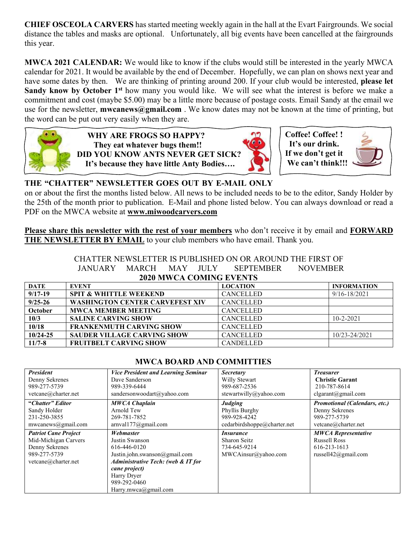**CHIEF OSCEOLA CARVERS** has started meeting weekly again in the hall at the Evart Fairgrounds. We social distance the tables and masks are optional. Unfortunately, all big events have been cancelled at the fairgrounds this year.

**MWCA 2021 CALENDAR:** We would like to know if the clubs would still be interested in the yearly MWCA calendar for 2021. It would be available by the end of December. Hopefully, we can plan on shows next year and have some dates by then. We are thinking of printing around 200. If your club would be interested, **please let Sandy know by October 1st** how many you would like. We will see what the interest is before we make a commitment and cost (maybe \$5.00) may be a little more because of postage costs. Email Sandy at the email we use for the newsletter, **mwcanews@gmail.com** . We know dates may not be known at the time of printing, but the word can be put out very easily when they are.



 **WHY ARE FROGS SO HAPPY? They eat whatever bugs them!! DID YOU KNOW ANTS NEVER GET SICK? It's because they have little Anty Bodies….** 





# **THE "CHATTER" NEWSLETTER GOES OUT BY E-MAIL ONLY**

on or about the first the months listed below. All news to be included needs to be to the editor, Sandy Holder by the 25th of the month prior to publication. E-Mail and phone listed below. You can always download or read a PDF on the MWCA website at **www.miwoodcarvers.com**

**Please share this newsletter with the rest of your members** who don't receive it by email and **FORWARD THE NEWSLETTER BY EMAIL** to your club members who have email. Thank you.

> CHATTER NEWSLETTER IS PUBLISHED ON OR AROUND THE FIRST OF JANUARY MARCH MAY JULY SEPTEMBER NOVEMBER **2020 MWCA COMING EVENTS**

| <b>DATE</b>  | <b>EVENT</b>                           | <b>LOCATION</b>  | <b>INFORMATION</b> |
|--------------|----------------------------------------|------------------|--------------------|
| $9/17 - 19$  | <b>SPIT &amp; WHITTLE WEEKEND</b>      | <b>CANCELLED</b> | $9/16 - 18/2021$   |
| $9/25 - 26$  | <b>WASHINGTON CENTER CARVEFEST XIV</b> | <b>CANCELLED</b> |                    |
| October      | <b>MWCA MEMBER MEETING</b>             | <b>CANCELLED</b> |                    |
| 10/3         | <b>SALINE CARVING SHOW</b>             | <b>CANCELLED</b> | $10 - 2 - 2021$    |
| 10/18        | <b>FRANKENMUTH CARVING SHOW</b>        | <b>CANCELLED</b> |                    |
| $10/24 - 25$ | <b>SAUDER VILLAGE CARVING SHOW</b>     | <b>CANCELLED</b> | 10/23-24/2021      |
| $11/7 - 8$   | <b>FRUITBELT CARVING SHOW</b>          | <b>CANDELLED</b> |                    |

## **MWCA BOARD AND COMMITTIES**

| <b>President</b>            | <b>Vice President and Learning Seminar</b>    | <b>Secretary</b>            | <b>Treasurer</b>                     |
|-----------------------------|-----------------------------------------------|-----------------------------|--------------------------------------|
| Denny Sekrenes              | Dave Sanderson                                | Willy Stewart               | <b>Christie Garant</b>               |
| 989-277-5739                | 989-339-6444                                  | 989-687-2536                | 210-787-8614                         |
| vetcane@charter.net         | sandersonwoodart@yahoo.com                    | stewartwilly@yahoo.com      | clgarant(@gmail.com)                 |
| "Chatter" Editor            | <b>MWCA Chaplain</b>                          | <b>Judging</b>              | <b>Promotional (Calendars, etc.)</b> |
| Sandy Holder                | Arnold Tew                                    | Phyllis Burghy              | Denny Sekrenes                       |
| 231-250-3855                | 269-781-7852                                  | 989-928-4242                | 989-277-5739                         |
| mwcanews@gmail.com          | arnvall77@gmail.com                           | cedarbirdshoppe@charter.net | vetcane@charter.net                  |
| <b>Patriot Cane Project</b> | Webmaster                                     | <i>Insurance</i>            | <b>MWCA Representative</b>           |
| Mid-Michigan Carvers        | Justin Swanson                                | Sharon Seitz                | <b>Russell Ross</b>                  |
| Denny Sekrenes              | 616-446-0120                                  | 734-645-9214                | 616-213-1613                         |
| 989-277-5739                | Justin.john.swanson@gmail.com                 | MWCAinsur@yahoo.com         | russell $42$ @gmail.com              |
| vetcane@charter.net         | <b>Administrative Tech: (web &amp; IT for</b> |                             |                                      |
|                             | cane project)                                 |                             |                                      |
|                             | Harry Dryer                                   |                             |                                      |
|                             | 989-292-0460                                  |                             |                                      |
|                             | Harry.mwca@gmail.com                          |                             |                                      |